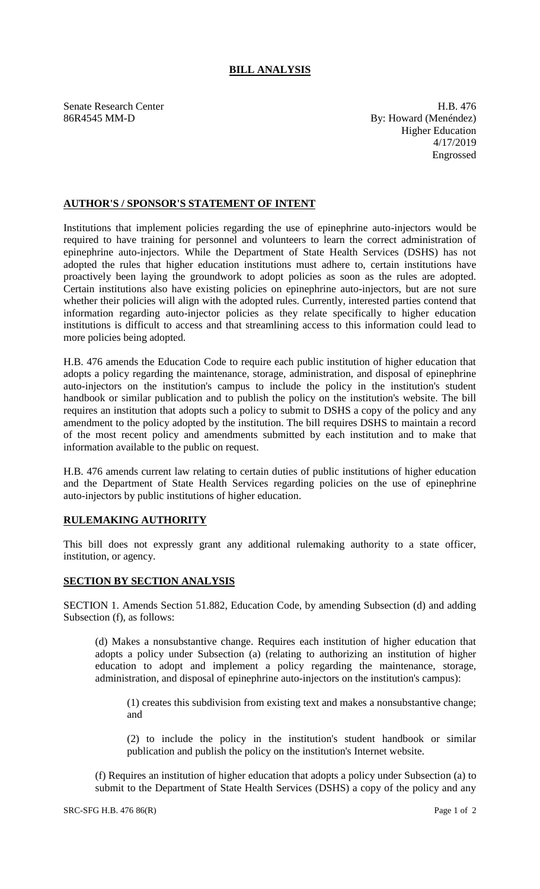## **BILL ANALYSIS**

Senate Research Center **H.B.** 476 86R4545 MM-D By: Howard (Menéndez) Higher Education 4/17/2019 Engrossed

## **AUTHOR'S / SPONSOR'S STATEMENT OF INTENT**

Institutions that implement policies regarding the use of epinephrine auto-injectors would be required to have training for personnel and volunteers to learn the correct administration of epinephrine auto-injectors. While the Department of State Health Services (DSHS) has not adopted the rules that higher education institutions must adhere to, certain institutions have proactively been laying the groundwork to adopt policies as soon as the rules are adopted. Certain institutions also have existing policies on epinephrine auto-injectors, but are not sure whether their policies will align with the adopted rules. Currently, interested parties contend that information regarding auto-injector policies as they relate specifically to higher education institutions is difficult to access and that streamlining access to this information could lead to more policies being adopted.

H.B. 476 amends the Education Code to require each public institution of higher education that adopts a policy regarding the maintenance, storage, administration, and disposal of epinephrine auto-injectors on the institution's campus to include the policy in the institution's student handbook or similar publication and to publish the policy on the institution's website. The bill requires an institution that adopts such a policy to submit to DSHS a copy of the policy and any amendment to the policy adopted by the institution. The bill requires DSHS to maintain a record of the most recent policy and amendments submitted by each institution and to make that information available to the public on request.

H.B. 476 amends current law relating to certain duties of public institutions of higher education and the Department of State Health Services regarding policies on the use of epinephrine auto-injectors by public institutions of higher education.

## **RULEMAKING AUTHORITY**

This bill does not expressly grant any additional rulemaking authority to a state officer, institution, or agency.

## **SECTION BY SECTION ANALYSIS**

SECTION 1. Amends Section 51.882, Education Code, by amending Subsection (d) and adding Subsection (f), as follows:

(d) Makes a nonsubstantive change. Requires each institution of higher education that adopts a policy under Subsection (a) (relating to authorizing an institution of higher education to adopt and implement a policy regarding the maintenance, storage, administration, and disposal of epinephrine auto-injectors on the institution's campus):

(1) creates this subdivision from existing text and makes a nonsubstantive change; and

(2) to include the policy in the institution's student handbook or similar publication and publish the policy on the institution's Internet website.

(f) Requires an institution of higher education that adopts a policy under Subsection (a) to submit to the Department of State Health Services (DSHS) a copy of the policy and any